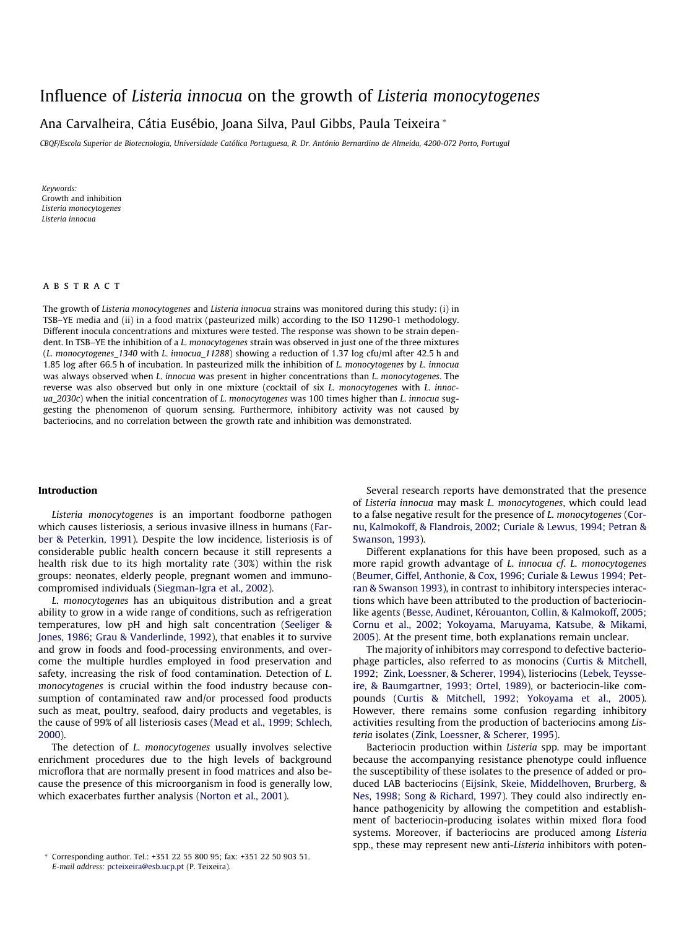# Influence of Listeria innocua on the growth of [Listeria](http://www.sciencedirect.com/science/journal/09567135) monocytogenes

# Ana Carvalheira, Cátia Eusébio, Joana Silva, Paul Gibbs, Paula Teixeira \*

CBQF/Escola Superior de Biotecnologia, Universidade Católica Portuguesa, R. Dr. António Bernardino de Almeida, 4200-072 Porto, Portugal

Keywords: Growth and inhibition Listeria monocytogenes Listeria innocua

### **ABSTRACT**

The growth of Listeria monocytogenes and Listeria innocua strains was monitored during this study: (i) in TSB–YE media and (ii) in a food matrix (pasteurized milk) according to the ISO 11290-1 methodology. Different inocula concentrations and mixtures were tested. The response was shown to be strain dependent. In TSB-YE the inhibition of a L. monocytogenes strain was observed in just one of the three mixtures (L. monocytogenes\_1340 with L. innocua\_11288) showing a reduction of 1.37 log cfu/ml after 42.5 h and 1.85 log after 66.5 h of incubation. In pasteurized milk the inhibition of L. monocytogenes by L. innocua was always observed when L. innocua was present in higher concentrations than L. monocytogenes. The reverse was also observed but only in one mixture (cocktail of six L. monocytogenes with L. innoc $ua_2030c$ ) when the initial concentration of L. monocytogenes was 100 times higher than L. innocua suggesting the phenomenon of quorum sensing. Furthermore, inhibitory activity was not caused by bacteriocins, and no correlation between the growth rate and inhibition was demonstrated.

#### Introduction

Listeria monocytogenes is an important foodborne pathogen which causes listeriosis, a serious invasive illness in humans ([Far](#page-4-0)[ber & Peterkin, 1991](#page-4-0)). Despite the low incidence, listeriosis is of considerable public health concern because it still represents a health risk due to its high mortality rate (30%) within the risk groups: neonates, elderly people, pregnant women and immunocompromised individuals [\(Siegman-Igra et al., 2002](#page-4-0)).

L. monocytogenes has an ubiquitous distribution and a great ability to grow in a wide range of conditions, such as refrigeration temperatures, low pH and high salt concentration ([Seeliger &](#page-4-0) [Jones, 1986](#page-4-0); [Grau & Vanderlinde, 1992\)](#page-4-0), that enables it to survive and grow in foods and food-processing environments, and overcome the multiple hurdles employed in food preservation and safety, increasing the risk of food contamination. Detection of L. monocytogenes is crucial within the food industry because consumption of contaminated raw and/or processed food products such as meat, poultry, seafood, dairy products and vegetables, is the cause of 99% of all listeriosis cases ([Mead et al., 1999; Schlech,](#page-4-0) [2000\)](#page-4-0).

The detection of L. monocytogenes usually involves selective enrichment procedures due to the high levels of background microflora that are normally present in food matrices and also because the presence of this microorganism in food is generally low, which exacerbates further analysis ([Norton et al., 2001](#page-4-0)).

Several research reports have demonstrated that the presence of Listeria innocua may mask L. monocytogenes, which could lead to a false negative result for the presence of L. monocytogenes ([Cor](#page-4-0)[nu, Kalmokoff, & Flandrois, 2002; Curiale & Lewus, 1994; Petran &](#page-4-0) [Swanson, 1993\)](#page-4-0).

Different explanations for this have been proposed, such as a more rapid growth advantage of L. innocua cf. L. monocytogenes ([Beumer, Giffel, Anthonie, & Cox, 1996; Curiale & Lewus 1994; Pet](#page-4-0)[ran & Swanson 1993](#page-4-0)), in contrast to inhibitory interspecies interactions which have been attributed to the production of bacteriocinlike agents [\(Besse, Audinet, Kérouanton, Collin, & Kalmokoff, 2005;](#page-4-0) [Cornu et al., 2002; Yokoyama, Maruyama, Katsube, & Mikami,](#page-4-0) [2005\)](#page-4-0). At the present time, both explanations remain unclear.

The majority of inhibitors may correspond to defective bacteriophage particles, also referred to as monocins [\(Curtis & Mitchell,](#page-4-0) [1992;](#page-4-0) [Zink, Loessner, & Scherer, 1994\)](#page-4-0), listeriocins ([Lebek, Teysse](#page-4-0)[ire, & Baumgartner, 1993; Ortel, 1989\)](#page-4-0), or bacteriocin-like compounds ([Curtis & Mitchell, 1992; Yokoyama et al., 2005\)](#page-4-0). However, there remains some confusion regarding inhibitory activities resulting from the production of bacteriocins among Listeria isolates [\(Zink, Loessner, & Scherer, 1995\)](#page-4-0).

Bacteriocin production within Listeria spp. may be important because the accompanying resistance phenotype could influence the susceptibility of these isolates to the presence of added or produced LAB bacteriocins ([Eijsink, Skeie, Middelhoven, Brurberg, &](#page-4-0) [Nes, 1998; Song & Richard, 1997](#page-4-0)). They could also indirectly enhance pathogenicity by allowing the competition and establishment of bacteriocin-producing isolates within mixed flora food systems. Moreover, if bacteriocins are produced among Listeria spp., these may represent new anti-Listeria inhibitors with poten-

<sup>\*</sup> Corresponding author. Tel.: +351 22 55 800 95; fax: +351 22 50 903 51. E-mail address: pcteixeira@esb.ucp.pt (P. Teixeira).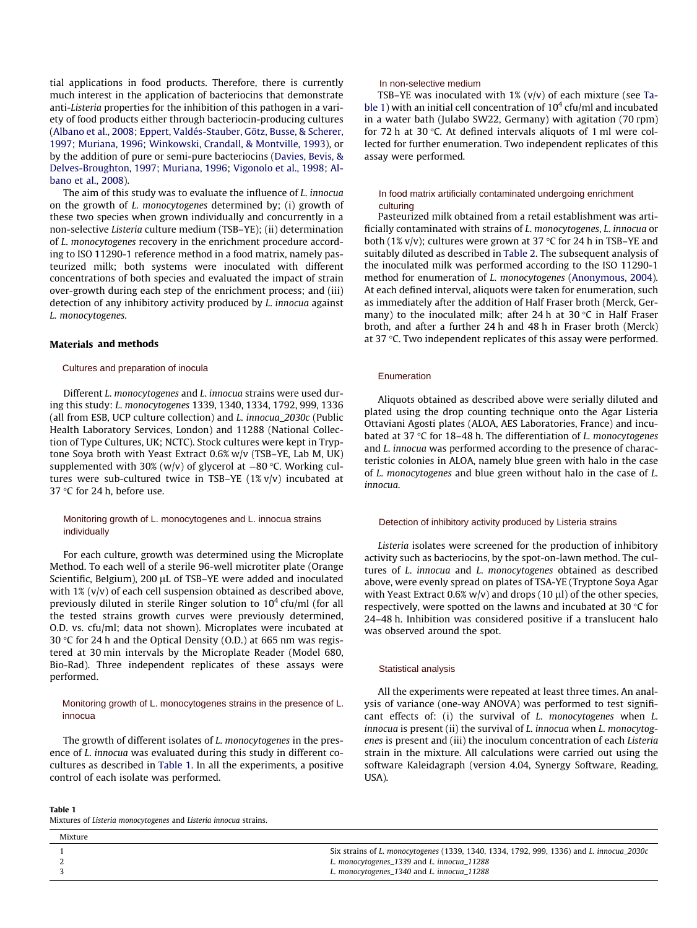<span id="page-1-0"></span>tial applications in food products. Therefore, there is currently much interest in the application of bacteriocins that demonstrate anti-Listeria properties for the inhibition of this pathogen in a variety of food products either through bacteriocin-producing cultures ([Albano et al., 2008; Eppert, Valdés-Stauber, Götz, Busse, & Scherer,](#page-4-0) [1997; Muriana, 1996; Winkowski, Crandall, & Montville, 1993](#page-4-0)), or by the addition of pure or semi-pure bacteriocins ([Davies, Bevis, &](#page-4-0) [Delves-Broughton, 1997; Muriana, 1996](#page-4-0); [Vigonolo et al., 1998](#page-4-0); [Al](#page-4-0)[bano et al., 2008\)](#page-4-0).

The aim of this study was to evaluate the influence of L. innocua on the growth of L. monocytogenes determined by; (i) growth of these two species when grown individually and concurrently in a non-selective Listeria culture medium (TSB–YE); (ii) determination of L. monocytogenes recovery in the enrichment procedure according to ISO 11290-1 reference method in a food matrix, namely pasteurized milk; both systems were inoculated with different concentrations of both species and evaluated the impact of strain over-growth during each step of the enrichment process; and (iii) detection of any inhibitory activity produced by L. innocua against L. monocytogenes. in opplications in 1000 products. Therefore, there is currently the resistent medium of the consistent medium of the technique methanic consistent in the byter and the behavior of the methanic consistent of the behavior o

## Materials and methods

# Cultures and preparation of inocula

Different L. monocytogenes and L. innocua strains were used during this study: L. monocytogenes 1339, 1340, 1334, 1792, 999, 1336 (all from ESB, UCP culture collection) and L. innocua\_2030c (Public Health Laboratory Services, London) and 11288 (National Collection of Type Cultures, UK; NCTC). Stock cultures were kept in Tryptone Soya broth with Yeast Extract 0.6% w/v (TSB–YE, Lab M, UK) supplemented with 30% (w/v) of glycerol at  $-80$  °C. Working cultures were sub-cultured twice in TSB–YE (1% v/v) incubated at 37  $\degree$ C for 24 h, before use.

# Monitoring growth of L. monocytogenes and L. innocua strains individually

For each culture, growth was determined using the Microplate Method. To each well of a sterile 96-well microtiter plate (Orange Scientific, Belgium), 200 µL of TSB-YE were added and inoculated with 1% (v/v) of each cell suspension obtained as described above, previously diluted in sterile Ringer solution to  $10^4$  cfu/ml (for all the tested strains growth curves were previously determined, O.D. vs. cfu/ml; data not shown). Microplates were incubated at 30 °C for 24 h and the Optical Density (O.D.) at 665 nm was registered at 30 min intervals by the Microplate Reader (Model 680, Bio-Rad). Three independent replicates of these assays were performed.

# Monitoring growth of L. monocytogenes strains in the presence of L.

The growth of different isolates of L. monocytogenes in the presence of L. innocua was evaluated during this study in different cocultures as described in Table 1. In all the experiments, a positive control of each isolate was performed.

#### Table 1

Mixture

Mixtures of Listeria monocytogenes and Listeria innocua strains.

TSB–YE was inoculated with 1% (v/v) of each mixture (see Table 1) with an initial cell concentration of  $10^4$  cfu/ml and incubated in a water bath (Julabo SW22, Germany) with agitation (70 rpm) for 72 h at 30 $\degree$ C. At defined intervals aliquots of 1 ml were collected for further enumeration. Two independent replicates of this assay were performed.

### In food matrix artificially contaminated undergoing enrichment culturing

Pasteurized milk obtained from a retail establishment was artificially contaminated with strains of L. monocytogenes, L. innocua or both (1% v/v); cultures were grown at 37  $\degree$ C for 24 h in TSB–YE and suitably diluted as described in [Table 2.](#page-2-0) The subsequent analysis of the inoculated milk was performed according to the ISO 11290-1 method for enumeration of L. monocytogenes ([Anonymous, 2004\)](#page-4-0). At each defined interval, aliquots were taken for enumeration, such as immediately after the addition of Half Fraser broth (Merck, Germany) to the inoculated milk; after 24 h at 30  $\degree$ C in Half Fraser broth, and after a further 24 h and 48 h in Fraser broth (Merck) at 37  $\degree$ C. Two independent replicates of this assay were performed.

#### Enumeration

Aliquots obtained as described above were serially diluted and plated using the drop counting technique onto the Agar Listeria Ottaviani Agosti plates (ALOA, AES Laboratories, France) and incubated at 37  $\degree$ C for 18–48 h. The differentiation of *L. monocytogenes* and L. innocua was performed according to the presence of characteristic colonies in ALOA, namely blue green with halo in the case of L. monocytogenes and blue green without halo in the case of L. innocua.

#### Detection of inhibitory activity produced by Listeria strains

Listeria isolates were screened for the production of inhibitory activity such as bacteriocins, by the spot-on-lawn method. The cultures of L. innocua and L. monocytogenes obtained as described above, were evenly spread on plates of TSA-YE (Tryptone Soya Agar with Yeast Extract 0.6% w/v) and drops (10  $\mu$ l) of the other species, respectively, were spotted on the lawns and incubated at 30  $\degree$ C for 24–48 h. Inhibition was considered positive if a translucent halo was observed around the spot.

#### Statistical analysis

All the experiments were repeated at least three times. An analysis of variance (one-way ANOVA) was performed to test significant effects of: (i) the survival of L. monocytogenes when L. innocua is present (ii) the survival of L. innocua when L. monocytogenes is present and (iii) the inoculum concentration of each Listeria strain in the mixture. All calculations were carried out using the software Kaleidagraph (version 4.04, Synergy Software, Reading, USA).

| . |                                                                                          |
|---|------------------------------------------------------------------------------------------|
|   | Six strains of L. monocytogenes (1339, 1340, 1334, 1792, 999, 1336) and L. innocua_2030c |
|   | L. monocytogenes_1339 and L. innocua_11288                                               |
|   | L. monocytogenes_1340 and L. innocua_11288                                               |
|   |                                                                                          |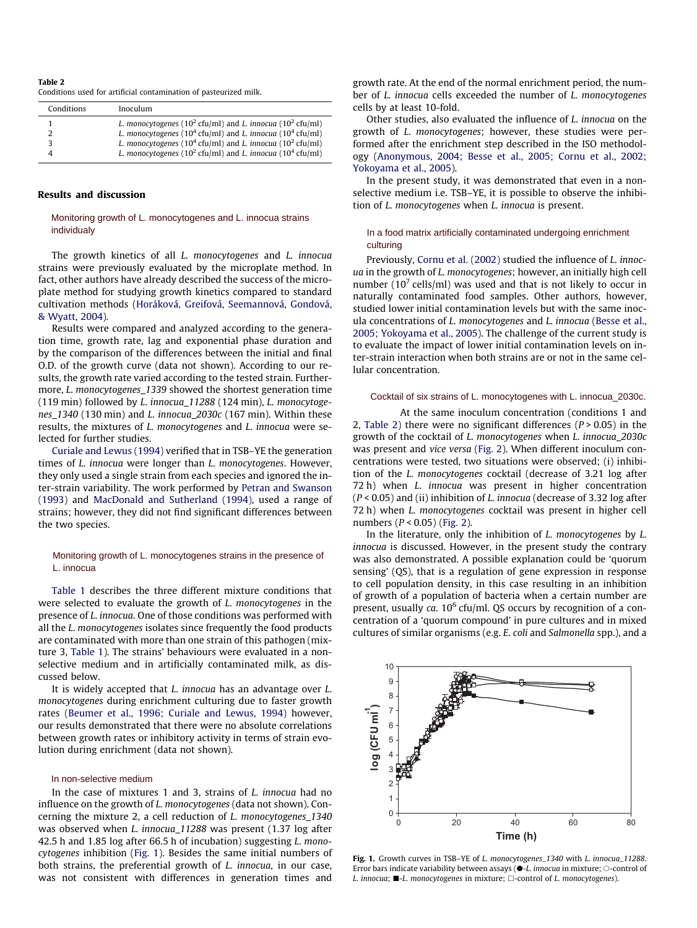#### <span id="page-2-0"></span>Table 2 Conditions used for artificial contamination of pasteurized milk.

| Conditions | Inoculum                                                                                                                                                                                                                                                                                                         |
|------------|------------------------------------------------------------------------------------------------------------------------------------------------------------------------------------------------------------------------------------------------------------------------------------------------------------------|
|            | L. monocytogenes ( $10^2$ cfu/ml) and L. innocua ( $10^2$ cfu/ml)<br>L. monocytogenes (10 <sup>4</sup> cfu/ml) and L. innocua (10 <sup>4</sup> cfu/ml)<br>L. monocytogenes (10 <sup>4</sup> cfu/ml) and L. innocua (10 <sup>2</sup> cfu/ml)<br>L. monocytogenes ( $10^2$ cfu/ml) and L. innocua ( $10^4$ cfu/ml) |

## Results and discussion

# Monitoring growth of L. monocytogenes and L. innocua strains individualy

The growth kinetics of all L. monocytogenes and L. innocua strains were previously evaluated by the microplate method. In fact, other authors have already described the success of the microplate method for studying growth kinetics compared to standard cultivation methods [\(Horáková, Greifová, Seemannová, Gondová,](#page-4-0) [& Wyatt, 2004\)](#page-4-0).

Results were compared and analyzed according to the generation time, growth rate, lag and exponential phase duration and by the comparison of the differences between the initial and final O.D. of the growth curve (data not shown). According to our results, the growth rate varied according to the tested strain. Furthermore, L. monocytogenes\_1339 showed the shortest generation time (119 min) followed by L. innocua\_11288 (124 min), L. monocytogenes\_1340 (130 min) and L. innocua\_2030c (167 min). Within these results, the mixtures of L. monocytogenes and L. innocua were selected for further studies.

[Curiale and Lewus \(1994\)](#page-4-0) verified that in TSB–YE the generation times of L. innocua were longer than L. monocytogenes. However, they only used a single strain from each species and ignored the inter-strain variability. The work performed by [Petran and Swanson](#page-4-0) [\(1993\)](#page-4-0) and [MacDonald and Sutherland \(1994\)](#page-4-0), used a range of strains; however, they did not find significant differences between the two species.

# Monitoring growth of L. monocytogenes strains in the presence of L. innocua

[Table 1](#page-1-0) describes the three different mixture conditions that were selected to evaluate the growth of L. monocytogenes in the presence of L. innocua. One of those conditions was performed with all the L. monocytogenes isolates since frequently the food products are contaminated with more than one strain of this pathogen (mixture 3, [Table 1](#page-1-0)). The strains' behaviours were evaluated in a nonselective medium and in artificially contaminated milk, as discussed below.

It is widely accepted that L. innocua has an advantage over L. monocytogenes during enrichment culturing due to faster growth rates [\(Beumer et al., 1996; Curiale and Lewus, 1994](#page-4-0)) however, our results demonstrated that there were no absolute correlations between growth rates or inhibitory activity in terms of strain evolution during enrichment (data not shown).

#### In non-selective medium

In the case of mixtures 1 and 3, strains of L. innocua had no influence on the growth of L. monocytogenes (data not shown). Concerning the mixture 2, a cell reduction of L. monocytogenes\_1340 was observed when L. innocua\_11288 was present (1.37 log after 42.5 h and 1.85 log after 66.5 h of incubation) suggesting L. monocytogenes inhibition (Fig. 1). Besides the same initial numbers of both strains, the preferential growth of L. innocua, in our case, was not consistent with differences in generation times and

growth rate. At the end of the normal enrichment period, the number of L. innocua cells exceeded the number of L. monocytogenes cells by at least 10-fold.

Other studies, also evaluated the influence of L. innocua on the growth of L. monocytogenes; however, these studies were performed after the enrichment step described in the ISO methodology ([Anonymous, 2004; Besse et al., 2005; Cornu et al., 2002;](#page-4-0) [Yokoyama et al., 2005\)](#page-4-0).

In the present study, it was demonstrated that even in a nonselective medium i.e. TSB–YE, it is possible to observe the inhibition of L. monocytogenes when L. innocua is present.

# In a food matrix artificially contaminated undergoing enrichment culturing

Previously, [Cornu et al. \(2002\)](#page-4-0) studied the influence of L. innocua in the growth of L. monocytogenes; however, an initially high cell number ( $10<sup>7</sup>$  cells/ml) was used and that is not likely to occur in naturally contaminated food samples. Other authors, however, studied lower initial contamination levels but with the same inocula concentrations of L. monocytogenes and L. innocua [\(Besse et al.,](#page-4-0) [2005; Yokoyama et al., 2005](#page-4-0)). The challenge of the current study is to evaluate the impact of lower initial contamination levels on inter-strain interaction when both strains are or not in the same cellular concentration.

# Cocktail of six strains of L. monocytogenes with L. innocua\_2030c.

At the same inoculum concentration (conditions 1 and 2, Table 2) there were no significant differences ( $P > 0.05$ ) in the growth of the cocktail of L. monocytogenes when L. innocua\_2030c was present and vice versa ([Fig. 2](#page-3-0)). When different inoculum concentrations were tested, two situations were observed; (i) inhibition of the L. monocytogenes cocktail (decrease of 3.21 log after 72 h) when L. innocua was present in higher concentration  $(P < 0.05)$  and (ii) inhibition of L. innocua (decrease of 3.32 log after 72 h) when L. monocytogenes cocktail was present in higher cell numbers  $(P < 0.05)$  ([Fig. 2](#page-3-0)).

In the literature, only the inhibition of L. monocytogenes by L. innocua is discussed. However, in the present study the contrary was also demonstrated. A possible explanation could be 'quorum sensing' (QS), that is a regulation of gene expression in response to cell population density, in this case resulting in an inhibition of growth of a population of bacteria when a certain number are present, usually ca.  $10^6$  cfu/ml. QS occurs by recognition of a concentration of a 'quorum compound' in pure cultures and in mixed cultures of similar organisms (e.g. E. coli and Salmonella spp.), and a



Fig. 1. Growth curves in TSB-YE of L. monocytogenes\_1340 with L. innocua\_11288. Error bars indicate variability between assays  $(\bullet - L$ . *innocua* in mixture;  $\circ$ -control of L. innocua;  $\blacksquare$ -L. monocytogenes in mixture;  $\Box$ -control of L. monocytogenes).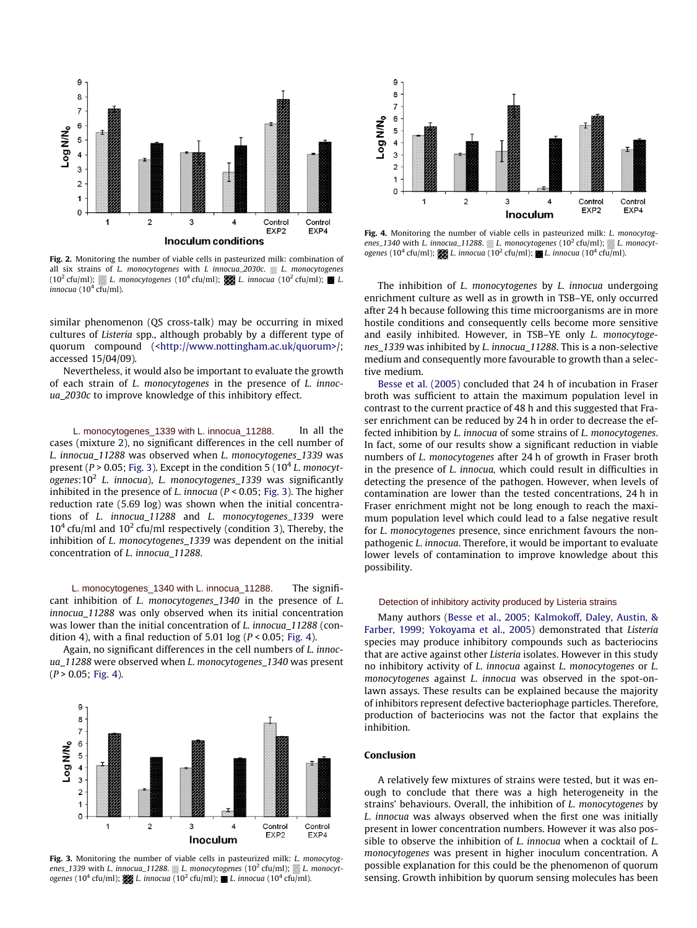<span id="page-3-0"></span>

Fig. 2. Monitoring the number of viable cells in pasteurized milk: combination of all six strains of L. monocytogenes with L innocua\_2030c.  $L$ . monocytogenes (10<sup>2</sup> cfu/ml); L. monocytogenes (10<sup>4</sup> cfu/ml); L. innocua (10<sup>2</sup> cfu/ml); **E**L.  $innocua$  (10<sup>4</sup> cfu/ml).

similar phenomenon (QS cross-talk) may be occurring in mixed cultures of Listeria spp., although probably by a different type of quorum compound [\(<http://www.nottingham.ac.uk/quorum>/](http://www.nottingham.ac.uk/quorum); accessed 15/04/09).

Nevertheless, it would also be important to evaluate the growth of each strain of L. monocytogenes in the presence of L. innocua\_2030c to improve knowledge of this inhibitory effect.

In all the cases (mixture 2), no significant differences in the cell number of L. innocua\_11288 was observed when L. monocytogenes\_1339 was present ( $P > 0.05$ ; Fig. 3). Except in the condition 5 ( $10<sup>4</sup>$  L. monocytogenes:10<sup>2</sup> L. innocua), L. monocytogenes 1339 was significantly inhibited in the presence of L. innocua ( $P < 0.05$ ; Fig. 3). The higher reduction rate (5.69 log) was shown when the initial concentrations of L. innocua\_11288 and L. monocytogenes\_1339 were  $10<sup>4</sup>$  cfu/ml and  $10<sup>2</sup>$  cfu/ml respectively (condition 3), Thereby, the inhibition of L. monocytogenes\_1339 was dependent on the initial concentration of L. innocua\_11288. L. monocytogenes\_1339 with L. innocua\_11288.

The significant inhibition of L. monocytogenes\_1340 in the presence of L. innocua 11288 was only observed when its initial concentration was lower than the initial concentration of L. innocua 11288 (condition 4), with a final reduction of 5.01 log ( $P < 0.05$ ; Fig. 4). L. monocytogenes\_1340 with L. innocua\_11288.

Again, no significant differences in the cell numbers of L. innocua\_11288 were observed when L. monocytogenes\_1340 was present  $(P > 0.05$ ; Fig. 4).



Fig. 3. Monitoring the number of viable cells in pasteurized milk: *L. monocytog*enes\_1339 with L. innocua\_11288. L. monocytogenes  $(10^2 \text{ cftl/ml})$ ; L. monocytogenes (10<sup>4</sup> cfu/ml); L. innocua (10<sup>2</sup> cfu/ml); L. innocua (10<sup>4</sup> cfu/ml).



Fig. 4. Monitoring the number of viable cells in pasteurized milk: *L. monocytog*enes\_1340 with L. innocua\_11288. L. monocytogenes (10<sup>2</sup> cfu/ml); L. monocytogenes (10<sup>4</sup> cfu/ml); L. innocua (10<sup>2</sup> cfu/ml); L. innocua (10<sup>4</sup> cfu/ml).

The inhibition of L. monocytogenes by L. innocua undergoing enrichment culture as well as in growth in TSB–YE, only occurred after 24 h because following this time microorganisms are in more hostile conditions and consequently cells become more sensitive and easily inhibited. However, in TSB–YE only L. monocytogenes 1339 was inhibited by L. innocua 11288. This is a non-selective medium and consequently more favourable to growth than a selective medium.

[Besse et al. \(2005\)](#page-4-0) concluded that 24 h of incubation in Fraser broth was sufficient to attain the maximum population level in contrast to the current practice of 48 h and this suggested that Fraser enrichment can be reduced by 24 h in order to decrease the effected inhibition by L. innocua of some strains of L. monocytogenes. In fact, some of our results show a significant reduction in viable numbers of L. monocytogenes after 24 h of growth in Fraser broth in the presence of L. innocua, which could result in difficulties in detecting the presence of the pathogen. However, when levels of contamination are lower than the tested concentrations, 24 h in Fraser enrichment might not be long enough to reach the maximum population level which could lead to a false negative result for L. monocytogenes presence, since enrichment favours the nonpathogenic L. innocua. Therefore, it would be important to evaluate lower levels of contamination to improve knowledge about this possibility.

#### Detection of inhibitory activity produced by Listeria strains

Many authors ([Besse et al., 2005; Kalmokoff, Daley, Austin, &](#page-4-0) [Farber, 1999; Yokoyama et al., 2005](#page-4-0)) demonstrated that Listeria species may produce inhibitory compounds such as bacteriocins that are active against other Listeria isolates. However in this study no inhibitory activity of L. innocua against L. monocytogenes or L. monocytogenes against L. innocua was observed in the spot-onlawn assays. These results can be explained because the majority of inhibitors represent defective bacteriophage particles. Therefore, production of bacteriocins was not the factor that explains the inhibition.

# Conclusion

A relatively few mixtures of strains were tested, but it was enough to conclude that there was a high heterogeneity in the strains' behaviours. Overall, the inhibition of L. monocytogenes by L. innocua was always observed when the first one was initially present in lower concentration numbers. However it was also possible to observe the inhibition of L. innocua when a cocktail of L. monocytogenes was present in higher inoculum concentration. A possible explanation for this could be the phenomenon of quorum sensing. Growth inhibition by quorum sensing molecules has been